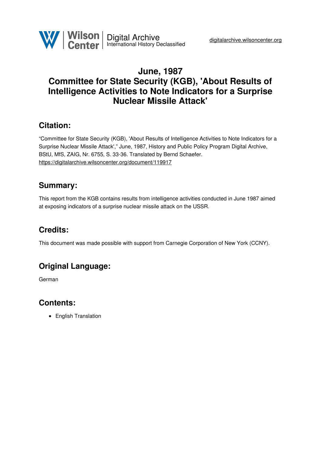

# **June, 1987 Committee for State Security (KGB), 'About Results of Intelligence Activities to Note Indicators for a Surprise Nuclear Missile Attack'**

## **Citation:**

"Committee for State Security (KGB), 'About Results of Intelligence Activities to Note Indicators for a Surprise Nuclear Missile Attack'," June, 1987, History and Public Policy Program Digital Archive, BStU, MfS, ZAIG, Nr. 6755, S. 33-36. Translated by Bernd Schaefer. <https://digitalarchive.wilsoncenter.org/document/119917>

## **Summary:**

This report from the KGB contains results from intelligence activities conducted in June 1987 aimed at exposing indicators of a surprise nuclear missile attack on the USSR.

# **Credits:**

This document was made possible with support from Carnegie Corporation of New York (CCNY).

# **Original Language:**

German

### **Contents:**

• English Translation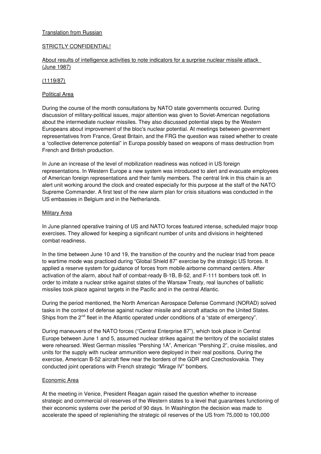#### **Translation from Russian**

#### STRICTLY CONFIDENTIAL!

#### About results of intelligence activities to note indicators for a surprise nuclear missile attack (June 1987)

#### (1119/87)

#### Political Area

During the course of the month consultations by NATO state governments occurred. During discussion of military-political issues, major attention was given to Soviet-American negotiations about the intermediate nuclear missiles. They also discussed potential steps by the Western Europeans about improvement of the bloc's nuclear potential. At meetings between government representatives from France, Great Britain, and the FRG the question was raised whether to create a "collective deterrence potential" in Europa possibly based on weapons of mass destruction from French and British production.

In June an increase of the level of mobilization readiness was noticed in US foreign representations. In Western Europe a new system was introduced to alert and evacuate employees of American foreign representations and their family members. The central link in this chain is an alert unit working around the clock and created especially for this purpose at the staff of the NATO Supreme Commander. A first test of the new alarm plan for crisis situations was conducted in the US embassies in Belgium and in the Netherlands.

#### Military Area

In June planned operative training of US and NATO forces featured intense, scheduled major troop exercises. They allowed for keeping a significant number of units and divisions in heightened combat readiness.

In the time between June 10 and 19, the transition of the country and the nuclear triad from peace to wartime mode was practiced during "Global Shield 87" exercise by the strategic US forces. It applied a reserve system for guidance of forces from mobile airborne command centers. After activation of the alarm, about half of combat-ready B-1B, B-52, and F-111 bombers took off. In order to imitate a nuclear strike against states of the Warsaw Treaty, real launches of ballistic missiles took place against targets in the Pacific and in the central Atlantic.

During the period mentioned, the North American Aerospace Defense Command (NORAD) solved tasks in the context of defense against nuclear missile and aircraft attacks on the United States. Ships from the 2<sup>nd</sup> fleet in the Atlantic operated under conditions of a "state of emergency".

During maneuvers of the NATO forces ("Central Enterprise 87"), which took place in Central Europe between June 1 and 5, assumed nuclear strikes against the territory of the socialist states were rehearsed. West German missiles "Pershing 1A", American "Pershing 2", cruise missiles, and units for the supply with nuclear ammunition were deployed in their real positions. During the exercise, American B-52 aircraft flew near the borders of the GDR and Czechoslovakia. They conducted joint operations with French strategic "Mirage IV" bombers.

#### Economic Area

At the meeting in Venice, President Reagan again raised the question whether to increase strategic and commercial oil reserves of the Western states to a level that guarantees functioning of their economic systems over the period of 90 days. In Washington the decision was made to accelerate the speed of replenishing the strategic oil reserves of the US from 75,000 to 100,000